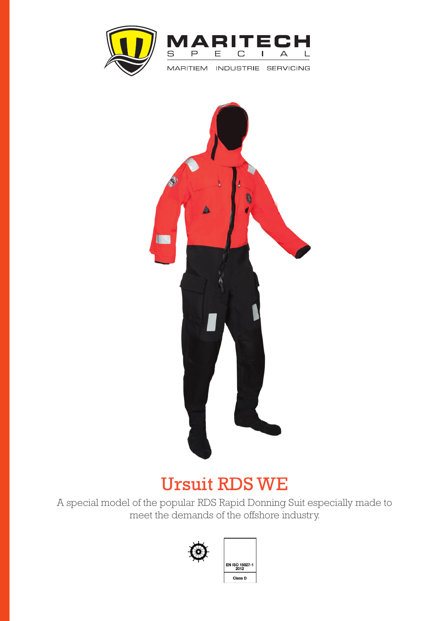



INDUSTRIE SERVICING **MARITIEM** 



## Ursuit RDS WE

 A special model of the popular RDS Rapid Donning Suit especially made to meet the demands of the offshore industry.